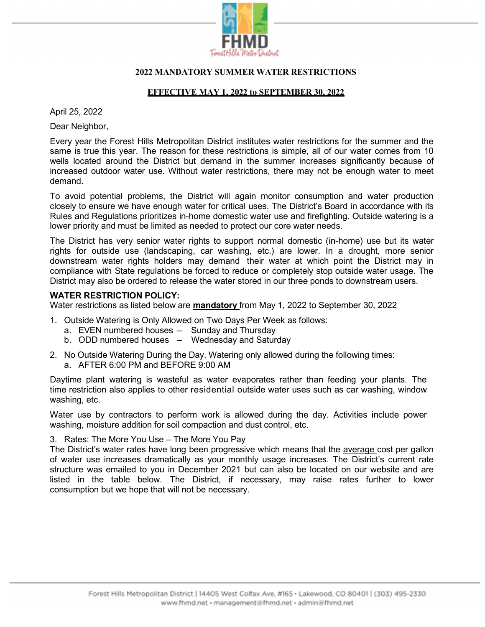

# 2022 MANDATORY SUMMER WATER RESTRICTIONS

# EFFECTIVE MAY 1, 2022 to SEPTEMBER 30, 2022

April 25, 2022

Dear Neighbor,

Every year the Forest Hills Metropolitan District institutes water restrictions for the summer and the same is true this year. The reason for these restrictions is simple, all of our water comes from 10 wells located around the District but demand in the summer increases significantly because of increased outdoor water use. Without water restrictions, there may not be enough water to meet demand.

To avoid potential problems, the District will again monitor consumption and water production closely to ensure we have enough water for critical uses. The District's Board in accordance with its Rules and Regulations prioritizes in-home domestic water use and firefighting. Outside watering is a lower priority and must be limited as needed to protect our core water needs.

The District has very senior water rights to support normal domestic (in-home) use but its water rights for outside use (landscaping, car washing, etc.) are lower. In a drought, more senior downstream water rights holders may demand their water at which point the District may in compliance with State regulations be forced to reduce or completely stop outside water usage. The District may also be ordered to release the water stored in our three ponds to downstream users.

# WATER RESTRICTION POLICY:

Water restrictions as listed below are **mandatory** from May 1, 2022 to September 30, 2022

- 1. Outside Watering is Only Allowed on Two Days Per Week as follows:
	- a. EVEN numbered houses Sunday and Thursday
	- b. ODD numbered houses Wednesday and Saturday
- 2. No Outside Watering During the Day. Watering only allowed during the following times: a. AFTER 6:00 PM and BEFORE 9:00 AM

Daytime plant watering is wasteful as water evaporates rather than feeding your plants. The time restriction also applies to other residential outside water uses such as car washing, window washing, etc.

Water use by contractors to perform work is allowed during the day. Activities include power washing, moisture addition for soil compaction and dust control, etc.

3. Rates: The More You Use – The More You Pay

The District's water rates have long been progressive which means that the average cost per gallon of water use increases dramatically as your monthly usage increases. The District's current rate structure was emailed to you in December 2021 but can also be located on our website and are listed in the table below. The District, if necessary, may raise rates further to lower consumption but we hope that will not be necessary.